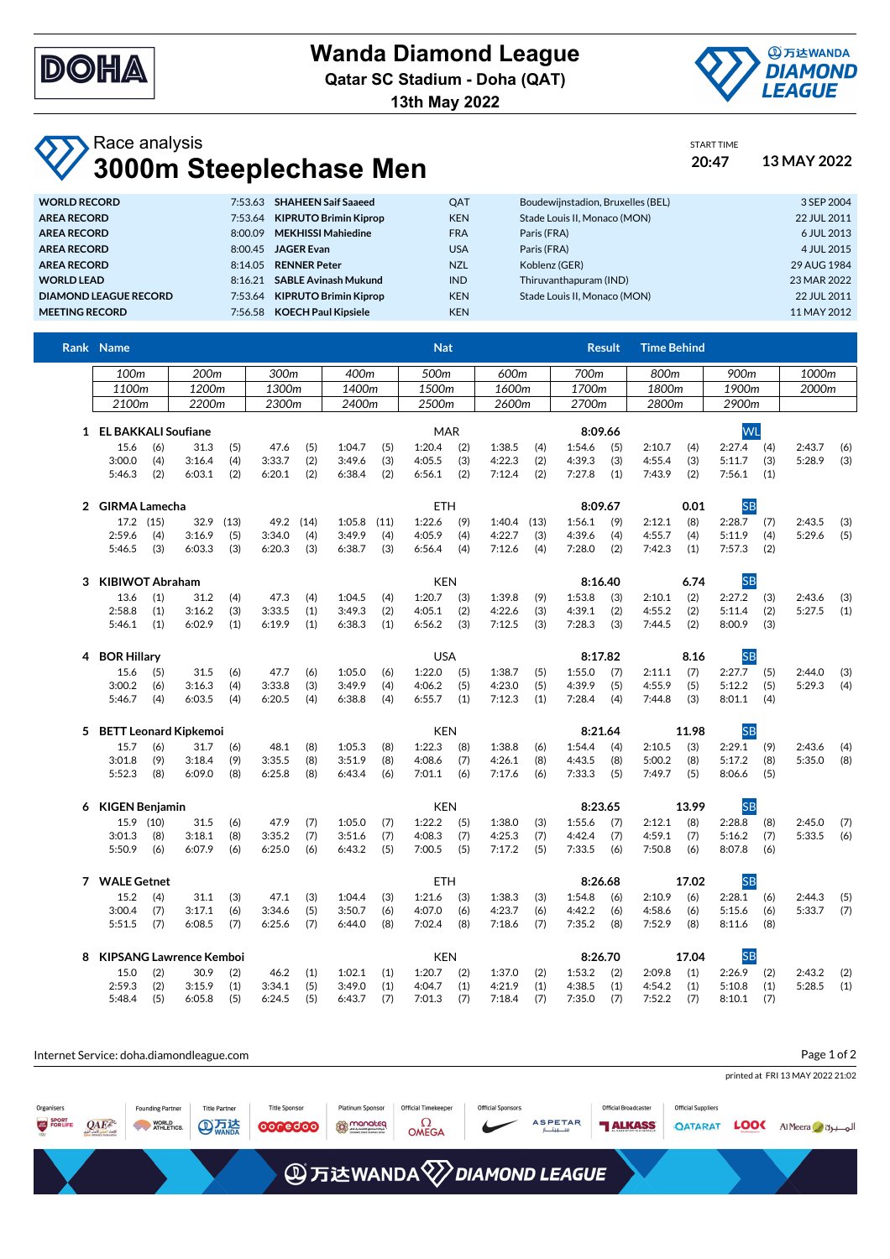

**Wanda Diamond League**

**Qatar SC Stadium - Doha (QAT)**

**13th May 2022**



START TIME

## Race analysis **3000m Steeplechase Men 20:47 13 MAY 2022**

| 7:53.63 SHAHEEN Saif Saaeed<br><b>WORLD RECORD</b>               | <b>OAT</b> | Boudewijnstadion, Bruxelles (BEL) | 3 SEP 2004  |
|------------------------------------------------------------------|------------|-----------------------------------|-------------|
| <b>KIPRUTO Brimin Kiprop</b><br><b>AREA RECORD</b><br>7:53.64    | <b>KEN</b> | Stade Louis II. Monaco (MON)      | 22 JUL 2011 |
| <b>MEKHISSI Mahiedine</b><br><b>AREA RECORD</b><br>8:00.09       | <b>FRA</b> | Paris (FRA)                       | 6 JUL 2013  |
| <b>AREA RECORD</b><br><b>JAGER Evan</b><br>8:00.45               | <b>USA</b> | Paris (FRA)                       | 4 JUL 2015  |
| <b>RENNER Peter</b><br><b>AREA RECORD</b><br>8:14.05             | <b>NZL</b> | Koblenz (GER)                     | 29 AUG 1984 |
| <b>SABLE Avinash Mukund</b><br><b>WORLD LEAD</b><br>8:16.21      | <b>IND</b> | Thiruvanthapuram (IND)            | 23 MAR 2022 |
| <b>KIPRUTO Brimin Kiprop</b><br>DIAMOND LEAGUE RECORD<br>7:53.64 | <b>KEN</b> | Stade Louis II. Monaco (MON)      | 22 JUL 2011 |
| <b>KOECH Paul Kipsiele</b><br><b>MEETING RECORD</b><br>7:56.58   | <b>KEN</b> |                                   | 11 MAY 2012 |

|   | Rank Name               |                               |                                |            |        |            |            |            | <b>Nat</b>       |            |               |      |           | <b>Result</b> | <b>Time Behind</b> |       |           |            |                  |            |
|---|-------------------------|-------------------------------|--------------------------------|------------|--------|------------|------------|------------|------------------|------------|---------------|------|-----------|---------------|--------------------|-------|-----------|------------|------------------|------------|
|   | 100m                    |                               | 200m                           |            | 300m   |            | 400m       |            | 500m             |            | 600m          |      | 700m      |               | 800m               |       | 900m      |            | 1000m            |            |
|   | 1100m                   |                               | 1200m                          |            | 1300m  |            | 1400m      |            | 1500m            |            | 1600m         |      | 1700m     |               | 1800m              |       | 1900m     |            | 2000m            |            |
|   | 2100m                   |                               | 2200m                          |            | 2300m  |            | 2400m      |            | 2500m            |            | 2600m         |      | 2700m     |               | 2800m              |       | 2900m     |            |                  |            |
|   | 1 EL BAKKALI Soufiane   |                               |                                |            |        |            | <b>MAR</b> |            |                  |            | 8:09.66       |      |           |               | <b>WL</b>          |       |           |            |                  |            |
|   | 15.6                    | (6)                           | 31.3                           | (5)        | 47.6   | (5)        | 1:04.7     | (5)        | 1:20.4           | (2)        | 1:38.5        | (4)  | 1:54.6    | (5)           | 2:10.7             | (4)   | 2:27.4    | (4)        | 2:43.7           | (6)        |
|   | 3:00.0                  | (4)                           | 3:16.4                         | (4)        | 3:33.7 | (2)        | 3:49.6     | (3)        | 4:05.5           | (3)        | 4:22.3        | (2)  | 4:39.3    | (3)           | 4:55.4             | (3)   | 5:11.7    | (3)        | 5:28.9           | (3)        |
|   | 5:46.3                  | (2)                           | 6:03.1                         | (2)        | 6:20.1 | (2)        | 6:38.4     | (2)        | 6:56.1           | (2)        | 7:12.4        | (2)  | 7:27.8    | (1)           | 7:43.9             | (2)   | 7:56.1    | (1)        |                  |            |
|   |                         | 2 GIRMA Lamecha<br><b>ETH</b> |                                |            |        |            |            |            | 8:09.67          |            |               | 0.01 | <b>SB</b> |               |                    |       |           |            |                  |            |
|   | 17.2 (15)               |                               | 32.9                           | (13)       | 49.2   | (14)       | 1:05.8     | (11)       | 1:22.6           | (9)        | $1:40.4$ (13) |      | 1:56.1    | (9)           | 2:12.1             | (8)   | 2:28.7    | (7)        | 2:43.5           | (3)        |
|   | 2:59.6                  | (4)                           | 3:16.9                         | (5)        | 3:34.0 | (4)        | 3:49.9     | (4)        | 4:05.9           | (4)        | 4:22.7        | (3)  | 4:39.6    | (4)           | 4:55.7             | (4)   | 5:11.9    | (4)        | 5:29.6           | (5)        |
|   | 5:46.5                  | (3)                           | 6:03.3                         | (3)        | 6:20.3 | (3)        | 6:38.7     | (3)        | 6:56.4           | (4)        | 7:12.6        | (4)  | 7:28.0    | (2)           | 7:42.3             | (1)   | 7:57.3    | (2)        |                  |            |
| 3 | <b>KIBIWOT Abraham</b>  |                               |                                |            |        | <b>KEN</b> |            |            | 8:16.40          |            |               | 6.74 | <b>SB</b> |               |                    |       |           |            |                  |            |
|   | 13.6                    | (1)                           | 31.2                           |            | 47.3   |            | 1:04.5     |            |                  |            | 1:39.8        | (9)  | 1:53.8    |               | 2:10.1             | (2)   | 2:27.2    |            |                  |            |
|   | 2:58.8                  | (1)                           | 3:16.2                         | (4)<br>(3) | 3:33.5 | (4)<br>(1) | 3:49.3     | (4)<br>(2) | 1:20.7<br>4:05.1 | (3)<br>(2) | 4:22.6        | (3)  | 4:39.1    | (3)<br>(2)    | 4:55.2             | (2)   | 5:11.4    | (3)<br>(2) | 2:43.6<br>5:27.5 | (3)<br>(1) |
|   | 5:46.1                  | (1)                           | 6:02.9                         | (1)        | 6:19.9 | (1)        | 6:38.3     | (1)        | 6:56.2           | (3)        | 7:12.5        | (3)  | 7:28.3    | (3)           | 7:44.5             | (2)   | 8:00.9    | (3)        |                  |            |
|   |                         |                               |                                |            |        |            |            |            |                  |            |               |      |           |               |                    |       |           |            |                  |            |
| 4 | <b>BOR Hillary</b>      |                               |                                |            |        |            |            |            | <b>USA</b>       |            |               |      |           | 8:17.82       |                    | 8.16  | <b>SB</b> |            |                  |            |
|   | 15.6                    | (5)                           | 31.5                           | (6)        | 47.7   | (6)        | 1:05.0     | (6)        | 1:22.0           | (5)        | 1:38.7        | (5)  | 1:55.0    | (7)           | 2:11.1             | (7)   | 2:27.7    | (5)        | 2:44.0           | (3)        |
|   | 3:00.2                  | (6)                           | 3:16.3                         | (4)        | 3:33.8 | (3)        | 3:49.9     | (4)        | 4:06.2           | (5)        | 4:23.0        | (5)  | 4:39.9    | (5)           | 4:55.9             | (5)   | 5:12.2    | (5)        | 5:29.3           | (4)        |
|   | 5:46.7                  | (4)                           | 6:03.5                         | (4)        | 6:20.5 | (4)        | 6:38.8     | (4)        | 6:55.7           | (1)        | 7:12.3        | (1)  | 7:28.4    | (4)           | 7:44.8             | (3)   | 8:01.1    | (4)        |                  |            |
|   | 5 BETT Leonard Kipkemoi |                               |                                |            |        |            |            |            | <b>KEN</b>       |            |               |      | 8:21.64   |               |                    | 11.98 | <b>SB</b> |            |                  |            |
|   | 15.7                    | (6)                           | 31.7                           | (6)        | 48.1   | (8)        | 1:05.3     | (8)        | 1:22.3           | (8)        | 1:38.8        | (6)  | 1:54.4    | (4)           | 2:10.5             | (3)   | 2:29.1    | (9)        | 2:43.6           | (4)        |
|   | 3:01.8                  | (9)                           | 3:18.4                         | (9)        | 3:35.5 | (8)        | 3:51.9     | (8)        | 4:08.6           | (7)        | 4:26.1        | (8)  | 4:43.5    | (8)           | 5:00.2             | (8)   | 5:17.2    | (8)        | 5:35.0           | (8)        |
|   | 5:52.3                  | (8)                           | 6:09.0                         | (8)        | 6:25.8 | (8)        | 6:43.4     | (6)        | 7:01.1           | (6)        | 7:17.6        | (6)  | 7:33.3    | (5)           | 7:49.7             | (5)   | 8:06.6    | (5)        |                  |            |
| 6 | KIGEN Benjamin          |                               |                                |            |        |            |            |            | <b>KEN</b>       |            |               |      | 8:23.65   |               |                    | 13.99 | <b>SB</b> |            |                  |            |
|   | 15.9 (10)               |                               | 31.5                           | (6)        | 47.9   | (7)        | 1:05.0     | (7)        | 1:22.2           | (5)        | 1:38.0        | (3)  | 1:55.6    | (7)           | 2:12.1             | (8)   | 2:28.8    | (8)        | 2:45.0           | (7)        |
|   | 3:01.3                  | (8)                           | 3:18.1                         | (8)        | 3:35.2 | (7)        | 3:51.6     | (7)        | 4:08.3           | (7)        | 4:25.3        | (7)  | 4:42.4    | (7)           | 4:59.1             | (7)   | 5:16.2    | (7)        | 5:33.5           | (6)        |
|   | 5:50.9                  | (6)                           | 6:07.9                         | (6)        | 6:25.0 | (6)        | 6:43.2     | (5)        | 7:00.5           | (5)        | 7:17.2        | (5)  | 7:33.5    | (6)           | 7:50.8             | (6)   | 8:07.8    | (6)        |                  |            |
|   | 7 WALE Getnet           |                               |                                |            |        |            |            |            | <b>ETH</b>       |            |               |      | 8:26.68   |               | 17.02              |       | <b>SB</b> |            |                  |            |
|   | 15.2                    | (4)                           | 31.1                           | (3)        | 47.1   | (3)        | 1:04.4     | (3)        | 1:21.6           | (3)        | 1:38.3        | (3)  | 1:54.8    | (6)           | 2:10.9             | (6)   | 2:28.1    | (6)        | 2:44.3           | (5)        |
|   | 3:00.4                  | (7)                           | 3:17.1                         | (6)        | 3:34.6 | (5)        | 3:50.7     | (6)        | 4:07.0           | (6)        | 4:23.7        | (6)  | 4:42.2    | (6)           | 4:58.6             | (6)   | 5:15.6    | (6)        | 5:33.7           | (7)        |
|   | 5:51.5                  | (7)                           | 6:08.5                         | (7)        | 6:25.6 | (7)        | 6:44.0     | (8)        | 7:02.4           | (8)        | 7:18.6        | (7)  | 7:35.2    | (8)           | 7:52.9             | (8)   | 8:11.6    | (8)        |                  |            |
| 8 |                         |                               | <b>KIPSANG Lawrence Kemboi</b> |            |        |            |            |            | <b>KEN</b>       |            |               |      |           | 8:26.70       |                    | 17.04 | <b>SB</b> |            |                  |            |
|   | 15.0                    | (2)                           | 30.9                           | (2)        | 46.2   | (1)        | 1:02.1     | (1)        | 1:20.7           | (2)        | 1:37.0        | (2)  | 1:53.2    | (2)           | 2:09.8             | (1)   | 2:26.9    | (2)        | 2:43.2           | (2)        |
|   | 2:59.3                  | (2)                           | 3:15.9                         | (1)        | 3:34.1 | (5)        | 3:49.0     | (1)        | 4:04.7           | (1)        | 4:21.9        | (1)  | 4:38.5    | (1)           | 4:54.2             | (1)   | 5:10.8    | (1)        | 5:28.5           | (1)        |
|   | 5:48.4                  | (5)                           | 6:05.8                         | (5)        | 6:24.5 | (5)        | 6:43.7     | (7)        | 7:01.3           | (7)        | 7:18.4        | (7)  | 7:35.0    | (7)           | 7:52.2             | (7)   | 8:10.1    | (7)        |                  |            |

| Internet Service: doha.diamondleague.com |         | Page 1 of 2                                    |                                      |                                 |                                        |                                                 |                          |                         |                                               |                                             |             |                                  |
|------------------------------------------|---------|------------------------------------------------|--------------------------------------|---------------------------------|----------------------------------------|-------------------------------------------------|--------------------------|-------------------------|-----------------------------------------------|---------------------------------------------|-------------|----------------------------------|
|                                          |         |                                                |                                      |                                 |                                        |                                                 |                          |                         |                                               |                                             |             | printed at FRI 13 MAY 2022 21:02 |
| Organisers<br>SPORT<br>FOR LIFE          | $QAE^k$ | <b>Founding Partner</b><br>WORLD<br>ATHLETICS. | <b>Title Partner</b><br><b>AD 万法</b> | <b>Title Sponsor</b><br>0000000 | <b>Platinum Sponsor</b><br>the monoteq | <b>Official Timekeeper</b><br>Ω<br><b>OMEGA</b> | <b>Official Sponsors</b> | <b>ASPETAR</b><br>سىبتا | <b>Official Broadcaster</b><br><b>TALKASS</b> | <b>Official Suppliers</b><br><b>QATARAT</b> | <b>LOOC</b> | Al Meera d                       |
|                                          |         |                                                |                                      |                                 |                                        | <b>④万达WANDA</b> <sup>2</sup> DIAMOND LEAGUE     |                          |                         |                                               |                                             |             |                                  |